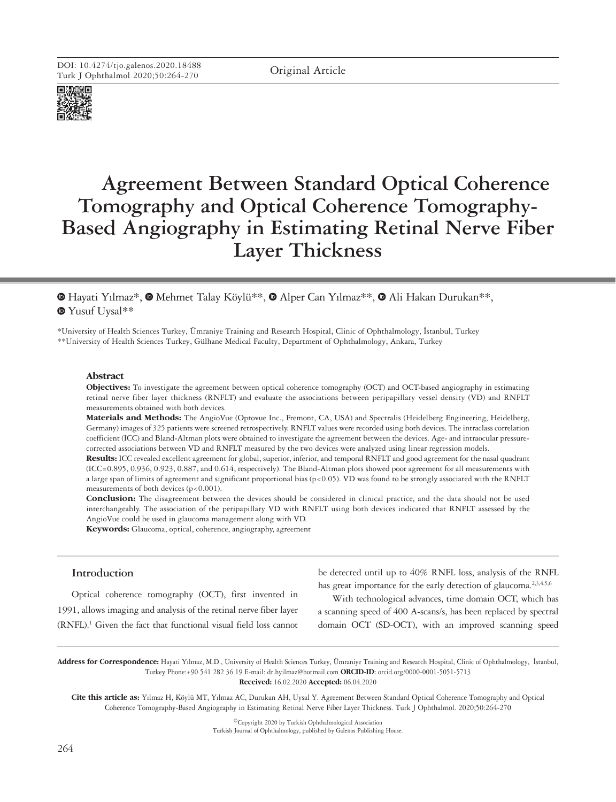

# **Agreement Between Standard Optical Coherence Tomography and Optical Coherence Tomography-Based Angiography in Estimating Retinal Nerve Fiber Layer Thickness**

**MehmushHayati Yılmaz\*, @ Mehmet Talay Köylü\*\*, @ Alper Can Yılmaz\*\*, @ Ali Hakan Durukan\*\*,** Yusuf Uysal\*\*

\*University of Health Sciences Turkey, Ümraniye Training and Research Hospital, Clinic of Ophthalmology, İstanbul, Turkey \*\*University of Health Sciences Turkey, Gülhane Medical Faculty, Department of Ophthalmology, Ankara, Turkey

#### **Abstract**

**Objectives:** To investigate the agreement between optical coherence tomography (OCT) and OCT-based angiography in estimating retinal nerve fiber layer thickness (RNFLT) and evaluate the associations between peripapillary vessel density (VD) and RNFLT measurements obtained with both devices.

**Materials and Methods:** The AngioVue (Optovue Inc., Fremont, CA, USA) and Spectralis (Heidelberg Engineering, Heidelberg, Germany) images of 325 patients were screened retrospectively. RNFLT values were recorded using both devices. The intraclass correlation coefficient (ICC) and Bland-Altman plots were obtained to investigate the agreement between the devices. Age- and intraocular pressurecorrected associations between VD and RNFLT measured by the two devices were analyzed using linear regression models.

**Results:** ICC revealed excellent agreement for global, superior, inferior, and temporal RNFLT and good agreement for the nasal quadrant (ICC=0.895, 0.936, 0.923, 0.887, and 0.614, respectively). The Bland-Altman plots showed poor agreement for all measurements with a large span of limits of agreement and significant proportional bias (p<0.05). VD was found to be strongly associated with the RNFLT measurements of both devices  $(p<0.001)$ .

**Conclusion:** The disagreement between the devices should be considered in clinical practice, and the data should not be used interchangeably. The association of the peripapillary VD with RNFLT using both devices indicated that RNFLT assessed by the AngioVue could be used in glaucoma management along with VD.

**Keywords:** Glaucoma, optical, coherence, angiography, agreement

## **Introduction**

Optical coherence tomography (OCT), first invented in 1991, allows imaging and analysis of the retinal nerve fiber layer (RNFL).<sup>1</sup> Given the fact that functional visual field loss cannot be detected until up to 40% RNFL loss, analysis of the RNFL has great importance for the early detection of glaucoma.<sup>2,3,4,5,6</sup>

With technological advances, time domain OCT, which has a scanning speed of 400 A-scans/s, has been replaced by spectral domain OCT (SD-OCT), with an improved scanning speed

**Address for Correspondence:** Hayati Yılmaz, M.D., University of Health Sciences Turkey, Ümraniye Training and Research Hospital, Clinic of Ophthalmology, İstanbul, Turkey Phone:+90 541 282 36 19 E-mail: dr.hyilmaz@hotmail.com **ORCID-ID:** orcid.org/0000-0001-5051-5713

**Received:** 16.02.2020 **Accepted:** 06.04.2020

**Cite this article as:** Yılmaz H, Köylü MT, Yılmaz AC, Durukan AH, Uysal Y. Agreement Between Standard Optical Coherence Tomography and Optical Coherence Tomography-Based Angiography in Estimating Retinal Nerve Fiber Layer Thickness. Turk J Ophthalmol. 2020;50:264-270

> ©Copyright 2020 by Turkish Ophthalmological Association Turkish Journal of Ophthalmology, published by Galenos Publishing House.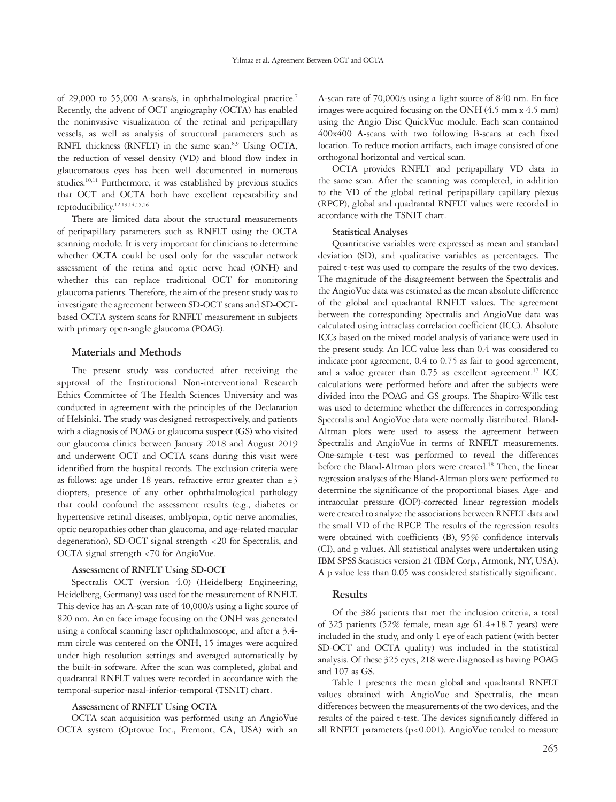of 29,000 to 55,000 A-scans/s, in ophthalmological practice.<sup>7</sup> Recently, the advent of OCT angiography (OCTA) has enabled the noninvasive visualization of the retinal and peripapillary vessels, as well as analysis of structural parameters such as RNFL thickness (RNFLT) in the same scan.<sup>8,9</sup> Using OCTA, the reduction of vessel density (VD) and blood flow index in glaucomatous eyes has been well documented in numerous studies.<sup>10,11</sup> Furthermore, it was established by previous studies that OCT and OCTA both have excellent repeatability and reproducibility.12,13,14,15,16

There are limited data about the structural measurements of peripapillary parameters such as RNFLT using the OCTA scanning module. It is very important for clinicians to determine whether OCTA could be used only for the vascular network assessment of the retina and optic nerve head (ONH) and whether this can replace traditional OCT for monitoring glaucoma patients. Therefore, the aim of the present study was to investigate the agreement between SD-OCT scans and SD-OCTbased OCTA system scans for RNFLT measurement in subjects with primary open-angle glaucoma (POAG).

## **Materials and Methods**

The present study was conducted after receiving the approval of the Institutional Non-interventional Research Ethics Committee of The Health Sciences University and was conducted in agreement with the principles of the Declaration of Helsinki. The study was designed retrospectively, and patients with a diagnosis of POAG or glaucoma suspect (GS) who visited our glaucoma clinics between January 2018 and August 2019 and underwent OCT and OCTA scans during this visit were identified from the hospital records. The exclusion criteria were as follows: age under 18 years, refractive error greater than  $\pm 3$ diopters, presence of any other ophthalmological pathology that could confound the assessment results (e.g., diabetes or hypertensive retinal diseases, amblyopia, optic nerve anomalies, optic neuropathies other than glaucoma, and age-related macular degeneration), SD-OCT signal strength <20 for Spectralis, and OCTA signal strength <70 for AngioVue.

## **Assessment of RNFLT Using SD-OCT**

Spectralis OCT (version 4.0) (Heidelberg Engineering, Heidelberg, Germany) was used for the measurement of RNFLT. This device has an A-scan rate of 40,000/s using a light source of 820 nm. An en face image focusing on the ONH was generated using a confocal scanning laser ophthalmoscope, and after a 3.4 mm circle was centered on the ONH, 15 images were acquired under high resolution settings and averaged automatically by the built-in software. After the scan was completed, global and quadrantal RNFLT values were recorded in accordance with the temporal-superior-nasal-inferior-temporal (TSNIT) chart.

## **Assessment of RNFLT Using OCTA**

OCTA scan acquisition was performed using an AngioVue OCTA system (Optovue Inc., Fremont, CA, USA) with an

A-scan rate of 70,000/s using a light source of 840 nm. En face images were acquired focusing on the ONH (4.5 mm x 4.5 mm) using the Angio Disc QuickVue module. Each scan contained 400x400 A-scans with two following B-scans at each fixed location. To reduce motion artifacts, each image consisted of one orthogonal horizontal and vertical scan.

OCTA provides RNFLT and peripapillary VD data in the same scan. After the scanning was completed, in addition to the VD of the global retinal peripapillary capillary plexus (RPCP), global and quadrantal RNFLT values were recorded in accordance with the TSNIT chart.

#### **Statistical Analyses**

Quantitative variables were expressed as mean and standard deviation (SD), and qualitative variables as percentages. The paired t-test was used to compare the results of the two devices. The magnitude of the disagreement between the Spectralis and the AngioVue data was estimated as the mean absolute difference of the global and quadrantal RNFLT values. The agreement between the corresponding Spectralis and AngioVue data was calculated using intraclass correlation coefficient (ICC). Absolute ICCs based on the mixed model analysis of variance were used in the present study. An ICC value less than 0.4 was considered to indicate poor agreement, 0.4 to 0.75 as fair to good agreement, and a value greater than  $0.75$  as excellent agreement.<sup>17</sup> ICC calculations were performed before and after the subjects were divided into the POAG and GS groups. The Shapiro-Wilk test was used to determine whether the differences in corresponding Spectralis and AngioVue data were normally distributed. Bland-Altman plots were used to assess the agreement between Spectralis and AngioVue in terms of RNFLT measurements. One-sample t-test was performed to reveal the differences before the Bland-Altman plots were created.<sup>18</sup> Then, the linear regression analyses of the Bland-Altman plots were performed to determine the significance of the proportional biases. Age- and intraocular pressure (IOP)-corrected linear regression models were created to analyze the associations between RNFLT data and the small VD of the RPCP. The results of the regression results were obtained with coefficients (B), 95% confidence intervals (CI), and p values. All statistical analyses were undertaken using IBM SPSS Statistics version 21 (IBM Corp., Armonk, NY, USA). A p value less than 0.05 was considered statistically significant.

#### **Results**

Of the 386 patients that met the inclusion criteria, a total of 325 patients (52% female, mean age  $61.4 \pm 18.7$  years) were included in the study, and only 1 eye of each patient (with better SD-OCT and OCTA quality) was included in the statistical analysis. Of these 325 eyes, 218 were diagnosed as having POAG and 107 as GS.

Table 1 presents the mean global and quadrantal RNFLT values obtained with AngioVue and Spectralis, the mean differences between the measurements of the two devices, and the results of the paired t-test. The devices significantly differed in all RNFLT parameters (p<0.001). AngioVue tended to measure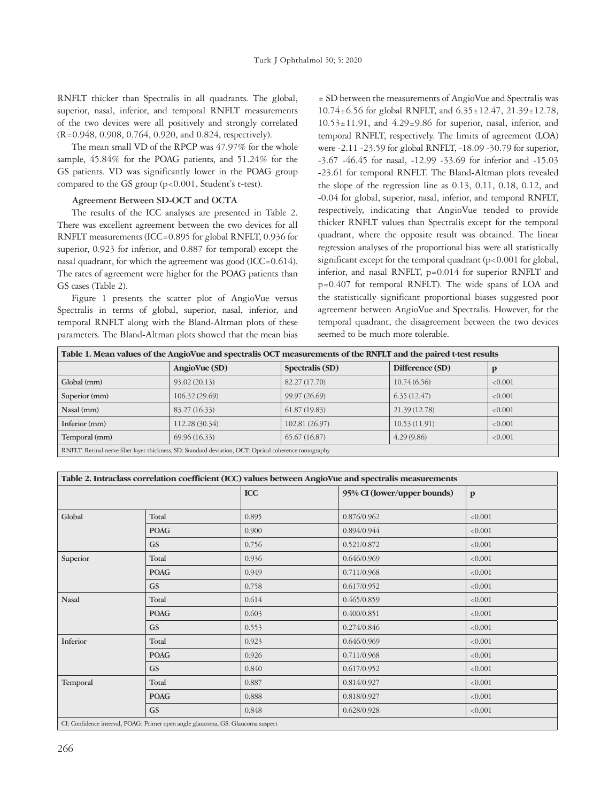RNFLT thicker than Spectralis in all quadrants. The global, superior, nasal, inferior, and temporal RNFLT measurements of the two devices were all positively and strongly correlated (R=0.948, 0.908, 0.764, 0.920, and 0.824, respectively).

The mean small VD of the RPCP was 47.97% for the whole sample, 45.84% for the POAG patients, and 51.24% for the GS patients. VD was significantly lower in the POAG group compared to the GS group (p<0.001, Student's t-test).

## **Agreement Between SD-OCT and OCTA**

The results of the ICC analyses are presented in Table 2. There was excellent agreement between the two devices for all RNFLT measurements (ICC=0.895 for global RNFLT, 0.936 for superior, 0.923 for inferior, and 0.887 for temporal) except the nasal quadrant, for which the agreement was good (ICC=0.614). The rates of agreement were higher for the POAG patients than GS cases (Table 2).

Figure 1 presents the scatter plot of AngioVue versus Spectralis in terms of global, superior, nasal, inferior, and temporal RNFLT along with the Bland-Altman plots of these parameters. The Bland-Altman plots showed that the mean bias

± SD between the measurements of AngioVue and Spectralis was 10.74±6.56 for global RNFLT, and 6.35±12.47, 21.39±12.78,  $10.53 \pm 11.91$ , and  $4.29 \pm 9.86$  for superior, nasal, inferior, and temporal RNFLT, respectively. The limits of agreement (LOA) were -2.11 -23.59 for global RNFLT, -18.09 -30.79 for superior, -3.67 -46.45 for nasal, -12.99 -33.69 for inferior and -15.03 -23.61 for temporal RNFLT. The Bland-Altman plots revealed the slope of the regression line as 0.13, 0.11, 0.18, 0.12, and -0.04 for global, superior, nasal, inferior, and temporal RNFLT, respectively, indicating that AngioVue tended to provide thicker RNFLT values than Spectralis except for the temporal quadrant, where the opposite result was obtained. The linear regression analyses of the proportional bias were all statistically significant except for the temporal quadrant  $(p<0.001$  for global, inferior, and nasal RNFLT, p=0.014 for superior RNFLT and p=0.407 for temporal RNFLT). The wide spans of LOA and the statistically significant proportional biases suggested poor agreement between AngioVue and Spectralis. However, for the temporal quadrant, the disagreement between the two devices seemed to be much more tolerable.

| Table 1. Mean values of the AngioVue and spectralis OCT measurements of the RNFLT and the paired t-test results |                |                 |                 |         |  |  |  |
|-----------------------------------------------------------------------------------------------------------------|----------------|-----------------|-----------------|---------|--|--|--|
|                                                                                                                 | AngioVue (SD)  | Spectralis (SD) | Difference (SD) |         |  |  |  |
| Global (mm)                                                                                                     | 93.02 (20.13)  | 82.27 (17.70)   | 10.74(6.56)     | < 0.001 |  |  |  |
| Superior (mm)                                                                                                   | 106.32 (29.69) | 99.97 (26.69)   | 6.35(12.47)     | < 0.001 |  |  |  |
| Nasal (mm)                                                                                                      | 83.27 (16.33)  | 61.87(19.83)    | 21.39 (12.78)   | < 0.001 |  |  |  |
| Inferior (mm)                                                                                                   | 112.28 (30.34) | 102.81 (26.97)  | 10.53(11.91)    | < 0.001 |  |  |  |
| Temporal (mm)                                                                                                   | 69.96(16.33)   | 65.67(16.87)    | 4.29(9.86)      | < 0.001 |  |  |  |
| RNFLT: Retinal nerve fiber layer thickness, SD: Standard deviation, OCT: Optical coherence tomography           |                |                 |                 |         |  |  |  |

| Table 2. Intraclass correlation coefficient (ICC) values between AngioVue and spectralis measurements |             |            |                             |              |  |  |
|-------------------------------------------------------------------------------------------------------|-------------|------------|-----------------------------|--------------|--|--|
|                                                                                                       |             | <b>ICC</b> | 95% CI (lower/upper bounds) | $\mathbf{p}$ |  |  |
| Global                                                                                                | Total       | 0.895      | 0.876/0.962                 | < 0.001      |  |  |
|                                                                                                       | <b>POAG</b> | 0.900      | 0.894/0.944                 | < 0.001      |  |  |
|                                                                                                       | <b>GS</b>   | 0.756      | 0.521/0.872                 | < 0.001      |  |  |
| Superior                                                                                              | Total       | 0.936      | 0.646/0.969                 | < 0.001      |  |  |
|                                                                                                       | <b>POAG</b> | 0.949      | 0.711/0.968                 | < 0.001      |  |  |
|                                                                                                       | <b>GS</b>   | 0.758      | 0.617/0.952                 | < 0.001      |  |  |
| <b>Nasal</b>                                                                                          | Total       | 0.614      | 0.465/0.859                 | < 0.001      |  |  |
|                                                                                                       | <b>POAG</b> | 0.603      | 0.400/0.851                 | < 0.001      |  |  |
|                                                                                                       | <b>GS</b>   | 0.553      | 0.274/0.846                 | < 0.001      |  |  |
| Inferior                                                                                              | Total       | 0.923      | 0.646/0.969                 | < 0.001      |  |  |
|                                                                                                       | <b>POAG</b> | 0.926      | 0.711/0.968                 | < 0.001      |  |  |
|                                                                                                       | <b>GS</b>   | 0.840      | 0.617/0.952                 | < 0.001      |  |  |
| Temporal                                                                                              | Total       | 0.887      | 0.814/0.927                 | < 0.001      |  |  |
|                                                                                                       | <b>POAG</b> | 0.888      | 0.818/0.927                 | < 0.001      |  |  |
|                                                                                                       | <b>GS</b>   | 0.848      | 0.628/0.928                 | < 0.001      |  |  |
| CI: Confidence interval, POAG: Primer open angle glaucoma, GS: Glaucoma suspect                       |             |            |                             |              |  |  |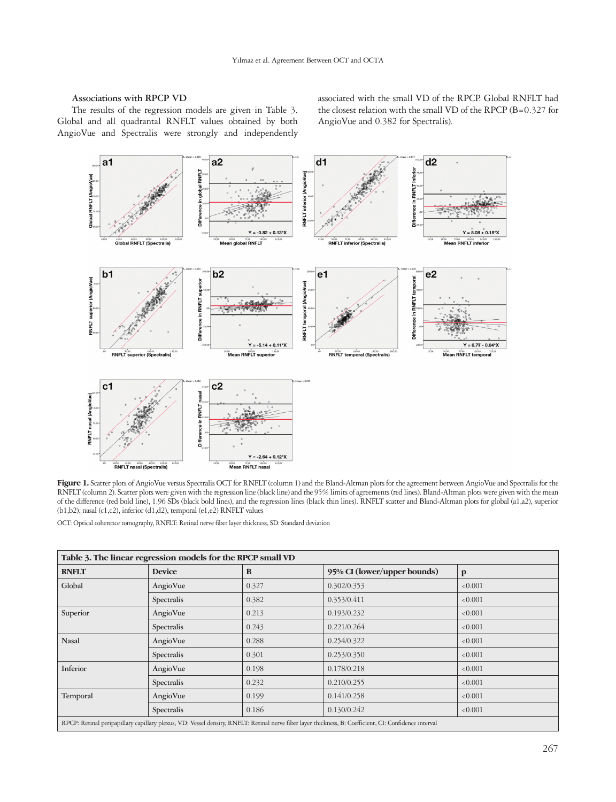#### **Associations with RPCP VD**

The results of the regression models are given in Table 3. Global and all quadrantal RNFLT values obtained by both AngioVue and Spectralis were strongly and independently associated with the small VD of the RPCP. Global RNFLT had the closest relation with the small VD of the RPCP (B=0.327 for AngioVue and 0.382 for Spectralis).



Figure 1. Scatter plots of AngioVue versus Spectralis OCT for RNFLT (column 1) and the Bland-Altman plots for the agreement between AngioVue and Spectralis for the RNFLT (column 2). Scatter plots were given with the regression line (black line) and the 95% limits of agreements (red lines). Bland-Altman plots were given with the mean of the difference (red bold line), 1.96 SDs (black bold lines), and the regression lines (black thin lines). RNFLT scatter and Bland-Altman plots for global (a1,a2), superior (b1,b2), nasal (c1,c2), inferior (d1,d2), temporal (e1,e2) RNFLT values

OCT: Optical coherence tomography, RNFLT: Retinal nerve fiber layer thickness, SD: Standard deviation

| Table 3. The linear regression models for the RPCP small VD                                                                                           |               |       |                                             |         |  |  |  |
|-------------------------------------------------------------------------------------------------------------------------------------------------------|---------------|-------|---------------------------------------------|---------|--|--|--|
| <b>RNFLT</b>                                                                                                                                          | <b>Device</b> | B     | 95% CI (lower/upper bounds)<br>$\mathbf{p}$ |         |  |  |  |
| Global                                                                                                                                                | AngioVue      | 0.327 | 0.302/0.353                                 | < 0.001 |  |  |  |
|                                                                                                                                                       | Spectralis    | 0.382 | 0.353/0.411                                 | < 0.001 |  |  |  |
| Superior                                                                                                                                              | AngioVue      | 0.213 | 0.193/0.232                                 | < 0.001 |  |  |  |
|                                                                                                                                                       | Spectralis    | 0.243 | 0.221/0.264                                 | < 0.001 |  |  |  |
| <b>Nasal</b>                                                                                                                                          | AngioVue      | 0.288 | 0.254/0.322                                 | < 0.001 |  |  |  |
|                                                                                                                                                       | Spectralis    | 0.301 | 0.253/0.350                                 | < 0.001 |  |  |  |
| Inferior                                                                                                                                              | AngioVue      | 0.198 | 0.178/0.218                                 | < 0.001 |  |  |  |
|                                                                                                                                                       | Spectralis    | 0.232 | 0.210/0.255                                 | < 0.001 |  |  |  |
| Temporal                                                                                                                                              | AngioVue      | 0.199 | 0.141/0.258                                 | < 0.001 |  |  |  |
|                                                                                                                                                       | Spectralis    | 0.186 | 0.130/0.242                                 | < 0.001 |  |  |  |
| RPCP: Retinal peripapillary capillary plexus, VD: Vessel density, RNFLT: Retinal nerve fiber layer thickness, B: Coefficient, CI: Confidence interval |               |       |                                             |         |  |  |  |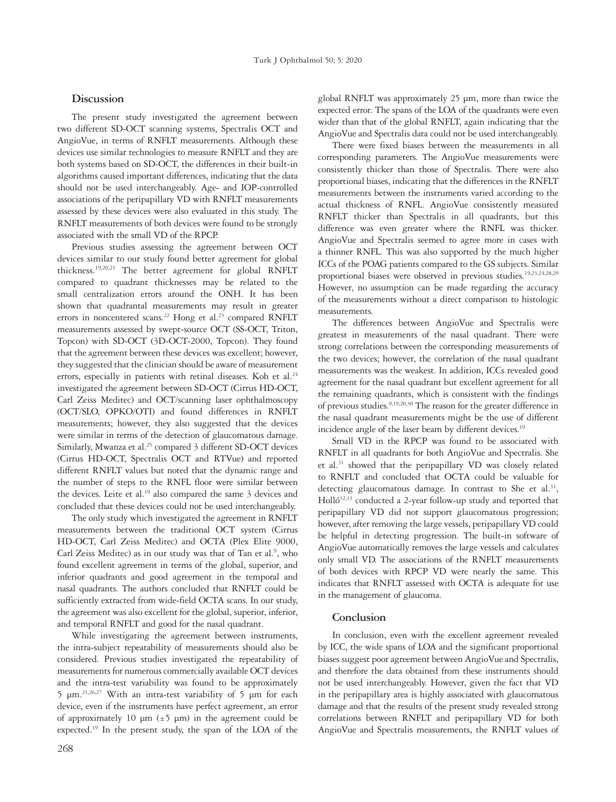## **Discussion**

The present study investigated the agreement between two different SD-OCT scanning systems, Spectralis OCT and AngioVue, in terms of RNFLT measurements. Although these devices use similar technologies to measure RNFLT and they are both systems based on SD-OCT, the differences in their built-in algorithms caused important differences, indicating that the data should not be used interchangeably. Age- and IOP-controlled associations of the peripapillary VD with RNFLT measurements assessed by these devices were also evaluated in this study. The RNFLT measurements of both devices were found to be strongly associated with the small VD of the RPCP.

Previous studies assessing the agreement between OCT devices similar to our study found better agreement for global thickness.19,20,21 The better agreement for global RNFLT compared to quadrant thicknesses may be related to the small centralization errors around the ONH. It has been shown that quadrantal measurements may result in greater errors in noncentered scans.<sup>22</sup> Hong et al.<sup>23</sup> compared RNFLT measurements assessed by swept-source OCT (SS-OCT, Triton, Topcon) with SD-OCT (3D-OCT-2000, Topcon). They found that the agreement between these devices was excellent; however, they suggested that the clinician should be aware of measurement errors, especially in patients with retinal diseases. Koh et al.<sup>24</sup> investigated the agreement between SD-OCT (Cirrus HD-OCT, Carl Zeiss Meditec) and OCT/scanning laser ophthalmoscopy (OCT/SLO, OPKO/OTI) and found differences in RNFLT measurements; however, they also suggested that the devices were similar in terms of the detection of glaucomatous damage. Similarly, Mwanza et al.<sup>25</sup> compared 3 different SD-OCT devices (Cirrus HD-OCT, Spectralis OCT and RTVue) and reported different RNFLT values but noted that the dynamic range and the number of steps to the RNFL floor were similar between the devices. Leite et al.<sup>19</sup> also compared the same  $3$  devices and concluded that these devices could not be used interchangeably.

The only study which investigated the agreement in RNFLT measurements between the traditional OCT system (Cirrus HD-OCT, Carl Zeiss Meditec) and OCTA (Plex Elite 9000, Carl Zeiss Meditec) as in our study was that of Tan et al.<sup>9</sup>, who found excellent agreement in terms of the global, superior, and inferior quadrants and good agreement in the temporal and nasal quadrants. The authors concluded that RNFLT could be sufficiently extracted from wide-field OCTA scans. In our study, the agreement was also excellent for the global, superior, inferior, and temporal RNFLT and good for the nasal quadrant.

While investigating the agreement between instruments, the intra-subject repeatability of measurements should also be considered. Previous studies investigated the repeatability of measurements for numerous commercially available OCT devices and the intra-test variability was found to be approximately 5 µm.21,26,27 With an intra-test variability of 5 µm for each device, even if the instruments have perfect agreement, an error of approximately 10  $\mu$ m ( $\pm$ 5  $\mu$ m) in the agreement could be expected.19 In the present study, the span of the LOA of the

global RNFLT was approximately 25 µm, more than twice the expected error. The spans of the LOA of the quadrants were even wider than that of the global RNFLT, again indicating that the AngioVue and Spectralis data could not be used interchangeably.

There were fixed biases between the measurements in all corresponding parameters. The AngioVue measurements were consistently thicker than those of Spectralis. There were also proportional biases, indicating that the differences in the RNFLT measurements between the instruments varied according to the actual thickness of RNFL. AngioVue consistently measured RNFLT thicker than Spectralis in all quadrants, but this difference was even greater where the RNFL was thicker. AngioVue and Spectralis seemed to agree more in cases with a thinner RNFL. This was also supported by the much higher ICCs of the POAG patients compared to the GS subjects. Similar proportional biases were observed in previous studies.19,23,24,28,29 However, no assumption can be made regarding the accuracy of the measurements without a direct comparison to histologic measurements.

The differences between AngioVue and Spectralis were greatest in measurements of the nasal quadrant. There were strong correlations between the corresponding measurements of the two devices; however, the correlation of the nasal quadrant measurements was the weakest. In addition, ICCs revealed good agreement for the nasal quadrant but excellent agreement for all the remaining quadrants, which is consistent with the findings of previous studies.9,19,20,30 The reason for the greater difference in the nasal quadrant measurements might be the use of different incidence angle of the laser beam by different devices.<sup>19</sup>

Small VD in the RPCP was found to be associated with RNFLT in all quadrants for both AngioVue and Spectralis. She et al.<sup>31</sup> showed that the peripapillary VD was closely related to RNFLT and concluded that OCTA could be valuable for detecting glaucomatous damage. In contrast to She et al. $31$ , Holló<sup>32,33</sup> conducted a 2-year follow-up study and reported that peripapillary VD did not support glaucomatous progression; however, after removing the large vessels, peripapillary VD could be helpful in detecting progression. The built-in software of AngioVue automatically removes the large vessels and calculates only small VD. The associations of the RNFLT measurements of both devices with RPCP VD were nearly the same. This indicates that RNFLT assessed with OCTA is adequate for use in the management of glaucoma.

## **Conclusion**

In conclusion, even with the excellent agreement revealed by ICC, the wide spans of LOA and the significant proportional biases suggest poor agreement between AngioVue and Spectralis, and therefore the data obtained from these instruments should not be used interchangeably. However, given the fact that VD in the peripapillary area is highly associated with glaucomatous damage and that the results of the present study revealed strong correlations between RNFLT and peripapillary VD for both AngioVue and Spectralis measurements, the RNFLT values of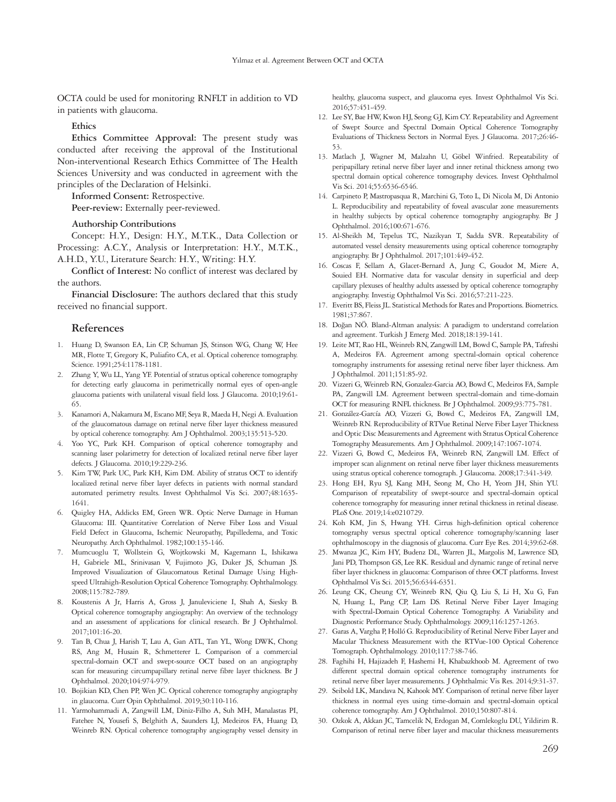OCTA could be used for monitoring RNFLT in addition to VD in patients with glaucoma.

### **Ethics**

**Ethics Committee Approval:** The present study was conducted after receiving the approval of the Institutional Non-interventional Research Ethics Committee of The Health Sciences University and was conducted in agreement with the principles of the Declaration of Helsinki.

**Informed Consent:** Retrospective.

**Peer-review:** Externally peer-reviewed.

### **Authorship Contributions**

Concept: H.Y., Design: H.Y., M.T.K., Data Collection or Processing: A.C.Y., Analysis or Interpretation: H.Y., M.T.K., A.H.D., Y.U., Literature Search: H.Y., Writing: H.Y.

**Conflict of Interest:** No conflict of interest was declared by the authors.

**Financial Disclosure:** The authors declared that this study received no financial support.

#### **References**

- 1. Huang D, Swanson EA, Lin CP, Schuman JS, Stinson WG, Chang W, Hee MR, Flotte T, Gregory K, Puliafito CA, et al. Optical coherence tomography. Science. 1991;254:1178-1181.
- 2. Zhang Y, Wu LL, Yang YF. Potential of stratus optical coherence tomography for detecting early glaucoma in perimetrically normal eyes of open-angle glaucoma patients with unilateral visual field loss. J Glaucoma. 2010;19:61- 65.
- 3. Kanamori A, Nakamura M, Escano MF, Seya R, Maeda H, Negi A. Evaluation of the glaucomatous damage on retinal nerve fiber layer thickness measured by optical coherence tomography. Am J Ophthalmol. 2003;135:513-520.
- Yoo YC, Park KH. Comparison of optical coherence tomography and scanning laser polarimetry for detection of localized retinal nerve fiber layer defects. J Glaucoma. 2010;19:229-236.
- 5. Kim TW, Park UC, Park KH, Kim DM. Ability of stratus OCT to identify localized retinal nerve fiber layer defects in patients with normal standard automated perimetry results. Invest Ophthalmol Vis Sci. 2007;48:1635- 1641.
- 6. Quigley HA, Addicks EM, Green WR. Optic Nerve Damage in Human Glaucoma: III. Quantitative Correlation of Nerve Fiber Loss and Visual Field Defect in Glaucoma, Ischemic Neuropathy, Papilledema, and Toxic Neuropathy. Arch Ophthalmol. 1982;100:135-146.
- 7. Mumcuoglu T, Wollstein G, Wojtkowski M, Kagemann L, Ishikawa H, Gabriele ML, Srinivasan V, Fujimoto JG, Duker JS, Schuman JS. Improved Visualization of Glaucomatous Retinal Damage Using Highspeed Ultrahigh-Resolution Optical Coherence Tomography. Ophthalmology. 2008;115:782-789.
- 8. Koustenis A Jr, Harris A, Gross J, Januleviciene I, Shah A, Siesky B. Optical coherence tomography angiography: An overview of the technology and an assessment of applications for clinical research. Br J Ophthalmol. 2017;101:16-20.
- 9. Tan B, Chua J, Harish T, Lau A, Gan ATL, Tan YL, Wong DWK, Chong RS, Ang M, Husain R, Schmetterer L. Comparison of a commercial spectral-domain OCT and swept-source OCT based on an angiography scan for measuring circumpapillary retinal nerve fibre layer thickness. Br J Ophthalmol. 2020;104:974-979.
- 10. Bojikian KD, Chen PP, Wen JC. Optical coherence tomography angiography in glaucoma. Curr Opin Ophthalmol. 2019;30:110-116.
- 11. Yarmohammadi A, Zangwill LM, Diniz-Filho A, Suh MH, Manalastas PI, Fatehee N, Yousefi S, Belghith A, Saunders LJ, Medeiros FA, Huang D, Weinreb RN. Optical coherence tomography angiography vessel density in

healthy, glaucoma suspect, and glaucoma eyes. Invest Ophthalmol Vis Sci. 2016;57:451-459.

- 12. Lee SY, Bae HW, Kwon HJ, Seong GJ, Kim CY. Repeatability and Agreement of Swept Source and Spectral Domain Optical Coherence Tomography Evaluations of Thickness Sectors in Normal Eyes. J Glaucoma. 2017;26:46- 53.
- 13. Matlach J, Wagner M, Malzahn U, Göbel Winfried. Repeatability of peripapillary retinal nerve fiber layer and inner retinal thickness among two spectral domain optical coherence tomography devices. Invest Ophthalmol Vis Sci. 2014;55:6536-6546.
- 14. Carpineto P, Mastropasqua R, Marchini G, Toto L, Di Nicola M, Di Antonio L. Reproducibility and repeatability of foveal avascular zone measurements in healthy subjects by optical coherence tomography angiography. Br J Ophthalmol. 2016;100:671-676.
- 15. Al-Sheikh M, Tepelus TC, Nazikyan T, Sadda SVR. Repeatability of automated vessel density measurements using optical coherence tomography angiography. Br J Ophthalmol. 2017;101:449-452.
- 16. Coscas F, Sellam A, Glacet-Bernard A, Jung C, Goudot M, Miere A, Souied EH. Normative data for vascular density in superficial and deep capillary plexuses of healthy adults assessed by optical coherence tomography angiography. Investig Ophthalmol Vis Sci. 2016;57:211-223.
- 17. Everitt BS, Fleiss JL. Statistical Methods for Rates and Proportions. Biometrics. 1981;37:867.
- 18. Doğan NÖ. Bland-Altman analysis: A paradigm to understand correlation and agreement. Turkish J Emerg Med. 2018;18:139-141.
- 19. Leite MT, Rao HL, Weinreb RN, Zangwill LM, Bowd C, Sample PA, Tafreshi A, Medeiros FA. Agreement among spectral-domain optical coherence tomography instruments for assessing retinal nerve fiber layer thickness. Am J Ophthalmol. 2011;151:85-92.
- 20. Vizzeri G, Weinreb RN, Gonzalez-Garcia AO, Bowd C, Medeiros FA, Sample PA, Zangwill LM. Agreement between spectral-domain and time-domain OCT for measuring RNFL thickness. Br J Ophthalmol. 2009;93:775-781.
- 21. González-García AO, Vizzeri G, Bowd C, Medeiros FA, Zangwill LM, Weinreb RN. Reproducibility of RTVue Retinal Nerve Fiber Layer Thickness and Optic Disc Measurements and Agreement with Stratus Optical Coherence Tomography Measurements. Am J Ophthalmol. 2009;147:1067-1074.
- 22. Vizzeri G, Bowd C, Medeiros FA, Weinreb RN, Zangwill LM. Effect of improper scan alignment on retinal nerve fiber layer thickness measurements using stratus optical coherence tomograph. J Glaucoma. 2008;17:341-349.
- 23. Hong EH, Ryu SJ, Kang MH, Seong M, Cho H, Yeom JH, Shin YU. Comparison of repeatability of swept-source and spectral-domain optical coherence tomography for measuring inner retinal thickness in retinal disease. PLoS One. 2019;14:e0210729.
- 24. Koh KM, Jin S, Hwang YH. Cirrus high-definition optical coherence tomography versus spectral optical coherence tomography/scanning laser ophthalmoscopy in the diagnosis of glaucoma. Curr Eye Res. 2014;39:62-68.
- 25. Mwanza JC, Kim HY, Budenz DL, Warren JL, Margolis M, Lawrence SD, Jani PD, Thompson GS, Lee RK. Residual and dynamic range of retinal nerve fiber layer thickness in glaucoma: Comparison of three OCT platforms. Invest Ophthalmol Vis Sci. 2015;56:6344-6351.
- 26. Leung CK, Cheung CY, Weinreb RN, Qiu Q, Liu S, Li H, Xu G, Fan N, Huang L, Pang CP, Lam DS. Retinal Nerve Fiber Layer Imaging with Spectral-Domain Optical Coherence Tomography. A Variability and Diagnostic Performance Study. Ophthalmology. 2009;116:1257-1263.
- 27. Garas A, Vargha P, Holló G. Reproducibility of Retinal Nerve Fiber Layer and Macular Thickness Measurement with the RTVue-100 Optical Coherence Tomograph. Ophthalmology. 2010;117:738-746.
- 28. Faghihi H, Hajizadeh F, Hashemi H, Khabazkhoob M. Agreement of two different spectral domain optical coherence tomography instruments for retinal nerve fiber layer measurements. J Ophthalmic Vis Res. 2014;9:31-37.
- 29. Seibold LK, Mandava N, Kahook MY. Comparison of retinal nerve fiber layer thickness in normal eyes using time-domain and spectral-domain optical coherence tomography. Am J Ophthalmol. 2010;150:807-814.
- 30. Ozkok A, Akkan JC, Tamcelik N, Erdogan M, Comlekoglu DU, Yildirim R. Comparison of retinal nerve fiber layer and macular thickness measurements